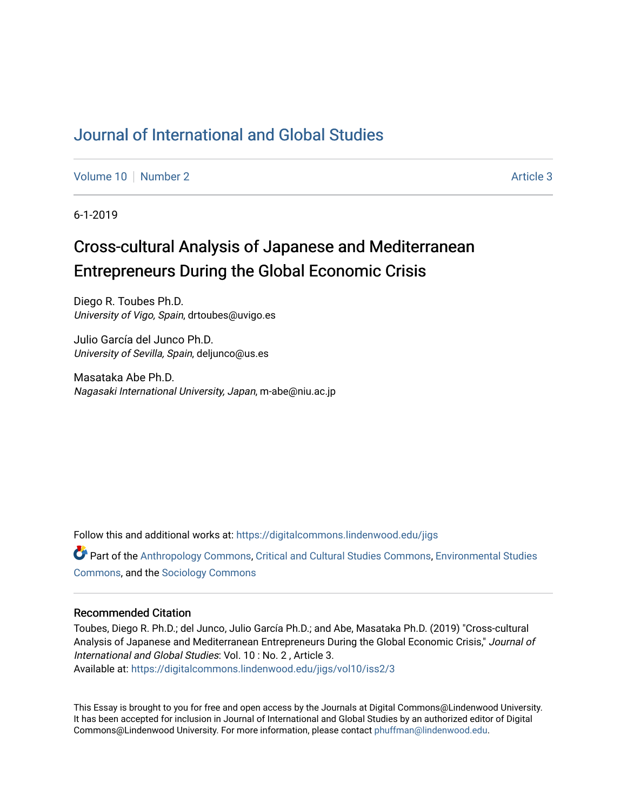## [Journal of International and Global Studies](https://digitalcommons.lindenwood.edu/jigs)

[Volume 10](https://digitalcommons.lindenwood.edu/jigs/vol10) [Number 2](https://digitalcommons.lindenwood.edu/jigs/vol10/iss2) Article 3

6-1-2019

# Cross-cultural Analysis of Japanese and Mediterranean Entrepreneurs During the Global Economic Crisis

Diego R. Toubes Ph.D. University of Vigo, Spain, drtoubes@uvigo.es

Julio García del Junco Ph.D. University of Sevilla, Spain, deljunco@us.es

Masataka Abe Ph.D. Nagasaki International University, Japan, m-abe@niu.ac.jp

Follow this and additional works at: [https://digitalcommons.lindenwood.edu/jigs](https://digitalcommons.lindenwood.edu/jigs?utm_source=digitalcommons.lindenwood.edu%2Fjigs%2Fvol10%2Fiss2%2F3&utm_medium=PDF&utm_campaign=PDFCoverPages) 

Part of the [Anthropology Commons](http://network.bepress.com/hgg/discipline/318?utm_source=digitalcommons.lindenwood.edu%2Fjigs%2Fvol10%2Fiss2%2F3&utm_medium=PDF&utm_campaign=PDFCoverPages), [Critical and Cultural Studies Commons](http://network.bepress.com/hgg/discipline/328?utm_source=digitalcommons.lindenwood.edu%2Fjigs%2Fvol10%2Fiss2%2F3&utm_medium=PDF&utm_campaign=PDFCoverPages), [Environmental Studies](http://network.bepress.com/hgg/discipline/1333?utm_source=digitalcommons.lindenwood.edu%2Fjigs%2Fvol10%2Fiss2%2F3&utm_medium=PDF&utm_campaign=PDFCoverPages)  [Commons](http://network.bepress.com/hgg/discipline/1333?utm_source=digitalcommons.lindenwood.edu%2Fjigs%2Fvol10%2Fiss2%2F3&utm_medium=PDF&utm_campaign=PDFCoverPages), and the [Sociology Commons](http://network.bepress.com/hgg/discipline/416?utm_source=digitalcommons.lindenwood.edu%2Fjigs%2Fvol10%2Fiss2%2F3&utm_medium=PDF&utm_campaign=PDFCoverPages)

## Recommended Citation

Toubes, Diego R. Ph.D.; del Junco, Julio García Ph.D.; and Abe, Masataka Ph.D. (2019) "Cross-cultural Analysis of Japanese and Mediterranean Entrepreneurs During the Global Economic Crisis," Journal of International and Global Studies: Vol. 10 : No. 2 , Article 3. Available at: [https://digitalcommons.lindenwood.edu/jigs/vol10/iss2/3](https://digitalcommons.lindenwood.edu/jigs/vol10/iss2/3?utm_source=digitalcommons.lindenwood.edu%2Fjigs%2Fvol10%2Fiss2%2F3&utm_medium=PDF&utm_campaign=PDFCoverPages) 

This Essay is brought to you for free and open access by the Journals at Digital Commons@Lindenwood University. It has been accepted for inclusion in Journal of International and Global Studies by an authorized editor of Digital Commons@Lindenwood University. For more information, please contact [phuffman@lindenwood.edu](mailto:phuffman@lindenwood.edu).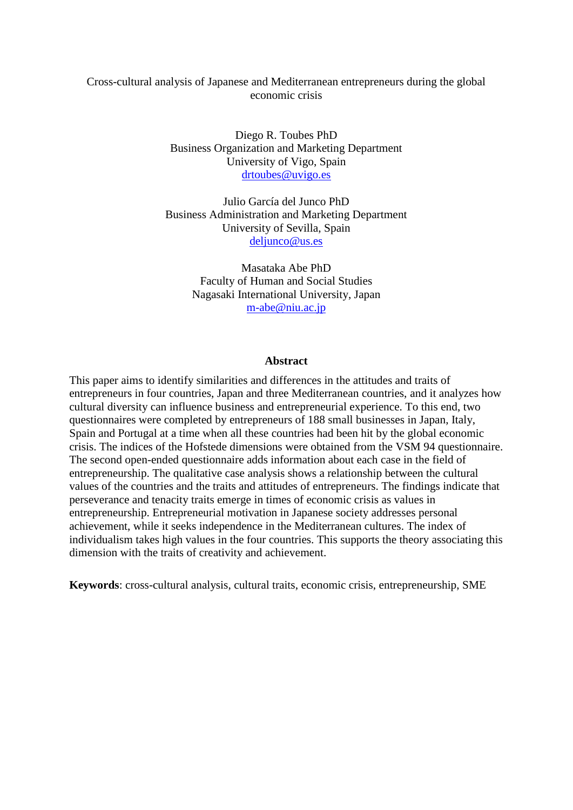## Cross-cultural analysis of Japanese and Mediterranean entrepreneurs during the global economic crisis

Diego R. Toubes PhD Business Organization and Marketing Department University of Vigo, Spain [drtoubes@uvigo.es](mailto:drtoubes@uvigo.es)

Julio García del Junco PhD Business Administration and Marketing Department University of Sevilla, Spain [deljunco@us.es](mailto:deljunco@us.es)

> Masataka Abe PhD Faculty of Human and Social Studies Nagasaki International University, Japan [m-abe@niu.ac.jp](mailto:m-abe@niu.ac.jp)

#### **Abstract**

This paper aims to identify similarities and differences in the attitudes and traits of entrepreneurs in four countries, Japan and three Mediterranean countries, and it analyzes how cultural diversity can influence business and entrepreneurial experience. To this end, two questionnaires were completed by entrepreneurs of 188 small businesses in Japan, Italy, Spain and Portugal at a time when all these countries had been hit by the global economic crisis. The indices of the Hofstede dimensions were obtained from the VSM 94 questionnaire. The second open-ended questionnaire adds information about each case in the field of entrepreneurship. The qualitative case analysis shows a relationship between the cultural values of the countries and the traits and attitudes of entrepreneurs. The findings indicate that perseverance and tenacity traits emerge in times of economic crisis as values in entrepreneurship. Entrepreneurial motivation in Japanese society addresses personal achievement, while it seeks independence in the Mediterranean cultures. The index of individualism takes high values in the four countries. This supports the theory associating this dimension with the traits of creativity and achievement.

**Keywords**: cross-cultural analysis, cultural traits, economic crisis, entrepreneurship, SME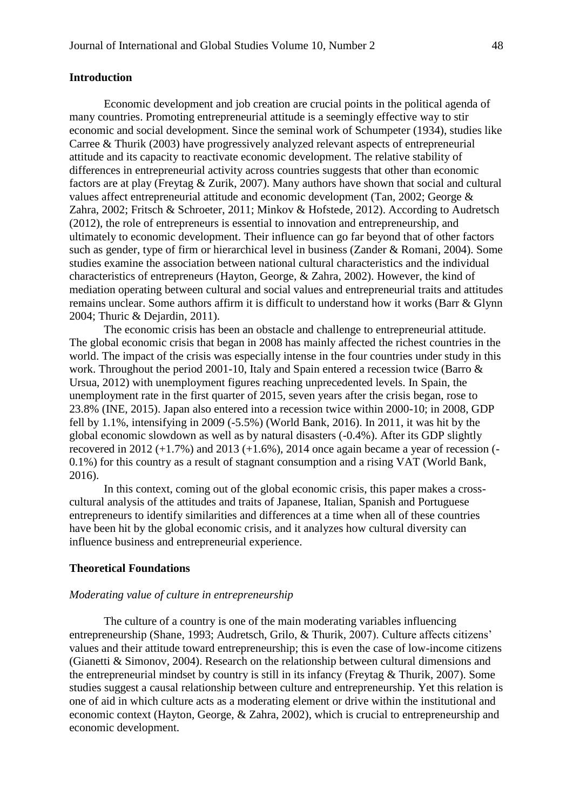## **Introduction**

Economic development and job creation are crucial points in the political agenda of many countries. Promoting entrepreneurial attitude is a seemingly effective way to stir economic and social development. Since the seminal work of Schumpeter (1934), studies like Carree & Thurik (2003) have progressively analyzed relevant aspects of entrepreneurial attitude and its capacity to reactivate economic development. The relative stability of differences in entrepreneurial activity across countries suggests that other than economic factors are at play (Freytag & Zurik, 2007). Many authors have shown that social and cultural values affect entrepreneurial attitude and economic development (Tan, 2002; George & Zahra, 2002; Fritsch & Schroeter, 2011; Minkov & Hofstede, 2012). According to Audretsch (2012), the role of entrepreneurs is essential to innovation and entrepreneurship, and ultimately to economic development. Their influence can go far beyond that of other factors such as gender, type of firm or hierarchical level in business (Zander & Romani, 2004). Some studies examine the association between national cultural characteristics and the individual characteristics of entrepreneurs (Hayton, George, & Zahra, 2002). However, the kind of mediation operating between cultural and social values and entrepreneurial traits and attitudes remains unclear. Some authors affirm it is difficult to understand how it works (Barr & Glynn 2004; Thuric & Dejardin, 2011).

The economic crisis has been an obstacle and challenge to entrepreneurial attitude. The global economic crisis that began in 2008 has mainly affected the richest countries in the world. The impact of the crisis was especially intense in the four countries under study in this work. Throughout the period 2001-10, Italy and Spain entered a recession twice (Barro & Ursua, 2012) with unemployment figures reaching unprecedented levels. In Spain, the unemployment rate in the first quarter of 2015, seven years after the crisis began, rose to 23.8% (INE, 2015). Japan also entered into a recession twice within 2000-10; in 2008, GDP fell by 1.1%, intensifying in 2009 (-5.5%) (World Bank, 2016). In 2011, it was hit by the global economic slowdown as well as by natural disasters (-0.4%). After its GDP slightly recovered in 2012  $(+1.7\%)$  and 2013  $(+1.6\%)$ , 2014 once again became a year of recession  $(-$ 0.1%) for this country as a result of stagnant consumption and a rising VAT (World Bank, 2016).

In this context, coming out of the global economic crisis, this paper makes a crosscultural analysis of the attitudes and traits of Japanese, Italian, Spanish and Portuguese entrepreneurs to identify similarities and differences at a time when all of these countries have been hit by the global economic crisis, and it analyzes how cultural diversity can influence business and entrepreneurial experience.

#### **Theoretical Foundations**

## *Moderating value of culture in entrepreneurship*

The culture of a country is one of the main moderating variables influencing entrepreneurship (Shane, 1993; Audretsch, Grilo, & Thurik, 2007). Culture affects citizens' values and their attitude toward entrepreneurship; this is even the case of low-income citizens (Gianetti & Simonov, 2004). Research on the relationship between cultural dimensions and the entrepreneurial mindset by country is still in its infancy (Freytag & Thurik, 2007). Some studies suggest a causal relationship between culture and entrepreneurship. Yet this relation is one of aid in which culture acts as a moderating element or drive within the institutional and economic context (Hayton, George, & Zahra, 2002), which is crucial to entrepreneurship and economic development.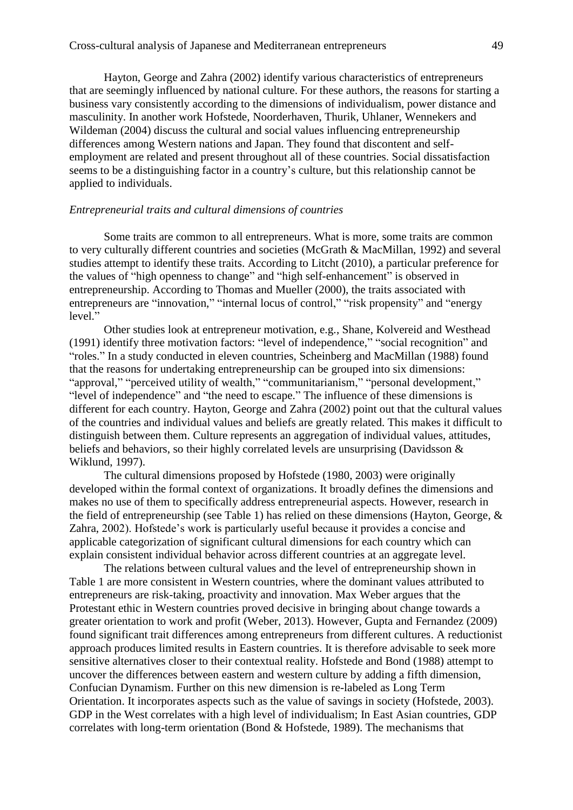Hayton, George and Zahra (2002) identify various characteristics of entrepreneurs that are seemingly influenced by national culture. For these authors, the reasons for starting a business vary consistently according to the dimensions of individualism, power distance and masculinity. In another work Hofstede, Noorderhaven, Thurik, Uhlaner, Wennekers and Wildeman (2004) discuss the cultural and social values influencing entrepreneurship differences among Western nations and Japan. They found that discontent and selfemployment are related and present throughout all of these countries. Social dissatisfaction seems to be a distinguishing factor in a country's culture, but this relationship cannot be applied to individuals.

#### *Entrepreneurial traits and cultural dimensions of countries*

Some traits are common to all entrepreneurs. What is more, some traits are common to very culturally different countries and societies (McGrath & MacMillan, 1992) and several studies attempt to identify these traits. According to Litcht (2010), a particular preference for the values of "high openness to change" and "high self-enhancement" is observed in entrepreneurship. According to Thomas and Mueller (2000), the traits associated with entrepreneurs are "innovation," "internal locus of control," "risk propensity" and "energy level."

Other studies look at entrepreneur motivation, e.g., Shane, Kolvereid and Westhead (1991) identify three motivation factors: "level of independence," "social recognition" and "roles." In a study conducted in eleven countries, Scheinberg and MacMillan (1988) found that the reasons for undertaking entrepreneurship can be grouped into six dimensions: "approval," "perceived utility of wealth," "communitarianism," "personal development," "level of independence" and "the need to escape." The influence of these dimensions is different for each country. Hayton, George and Zahra (2002) point out that the cultural values of the countries and individual values and beliefs are greatly related. This makes it difficult to distinguish between them. Culture represents an aggregation of individual values, attitudes, beliefs and behaviors, so their highly correlated levels are unsurprising (Davidsson & Wiklund, 1997).

The cultural dimensions proposed by Hofstede (1980, 2003) were originally developed within the formal context of organizations. It broadly defines the dimensions and makes no use of them to specifically address entrepreneurial aspects. However, research in the field of entrepreneurship (see Table 1) has relied on these dimensions (Hayton, George, & Zahra, 2002). Hofstede's work is particularly useful because it provides a concise and applicable categorization of significant cultural dimensions for each country which can explain consistent individual behavior across different countries at an aggregate level.

The relations between cultural values and the level of entrepreneurship shown in Table 1 are more consistent in Western countries, where the dominant values attributed to entrepreneurs are risk-taking, proactivity and innovation. Max Weber argues that the Protestant ethic in Western countries proved decisive in bringing about change towards a greater orientation to work and profit (Weber, 2013). However, Gupta and Fernandez (2009) found significant trait differences among entrepreneurs from different cultures. A reductionist approach produces limited results in Eastern countries. It is therefore advisable to seek more sensitive alternatives closer to their contextual reality. Hofstede and Bond (1988) attempt to uncover the differences between eastern and western culture by adding a fifth dimension, Confucian Dynamism. Further on this new dimension is re-labeled as Long Term Orientation. It incorporates aspects such as the value of savings in society (Hofstede, 2003). GDP in the West correlates with a high level of individualism; In East Asian countries, GDP correlates with long-term orientation (Bond & Hofstede, 1989). The mechanisms that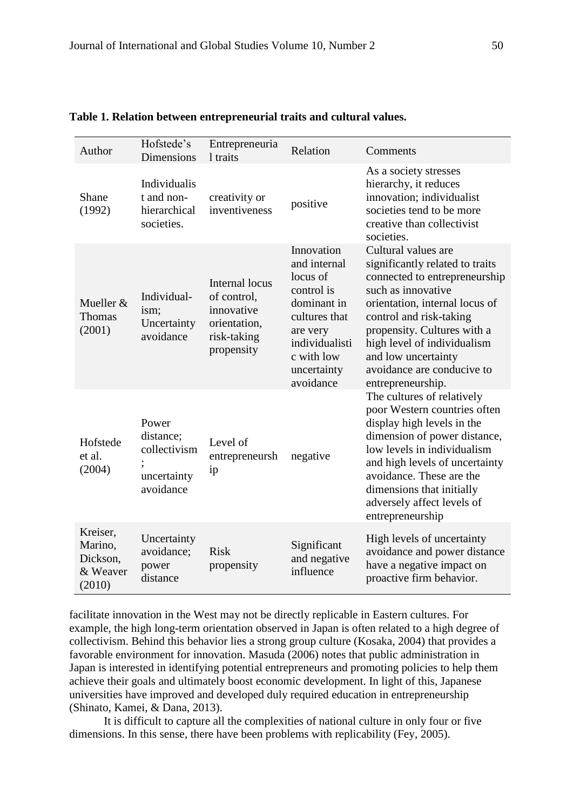| Author                                                | Hofstede's<br><b>Dimensions</b>                                | Entrepreneuria<br>1 traits                                                               | Relation                                                                                                                                                     | Comments                                                                                                                                                                                                                                                                                                           |
|-------------------------------------------------------|----------------------------------------------------------------|------------------------------------------------------------------------------------------|--------------------------------------------------------------------------------------------------------------------------------------------------------------|--------------------------------------------------------------------------------------------------------------------------------------------------------------------------------------------------------------------------------------------------------------------------------------------------------------------|
| Shane<br>(1992)                                       | Individualis<br>t and non-<br>hierarchical<br>societies.       | creativity or<br>inventiveness                                                           | positive                                                                                                                                                     | As a society stresses<br>hierarchy, it reduces<br>innovation; individualist<br>societies tend to be more<br>creative than collectivist<br>societies.                                                                                                                                                               |
| Mueller &<br><b>Thomas</b><br>(2001)                  | Individual-<br>ism;<br>Uncertainty<br>avoidance                | Internal locus<br>of control,<br>innovative<br>orientation,<br>risk-taking<br>propensity | Innovation<br>and internal<br>locus of<br>control is<br>dominant in<br>cultures that<br>are very<br>individualisti<br>c with low<br>uncertainty<br>avoidance | Cultural values are<br>significantly related to traits<br>connected to entrepreneurship<br>such as innovative<br>orientation, internal locus of<br>control and risk-taking<br>propensity. Cultures with a<br>high level of individualism<br>and low uncertainty<br>avoidance are conducive to<br>entrepreneurship. |
| Hofstede<br>et al.<br>(2004)                          | Power<br>distance:<br>collectivism<br>uncertainty<br>avoidance | Level of<br>entrepreneursh<br>ip                                                         | negative                                                                                                                                                     | The cultures of relatively<br>poor Western countries often<br>display high levels in the<br>dimension of power distance,<br>low levels in individualism<br>and high levels of uncertainty<br>avoidance. These are the<br>dimensions that initially<br>adversely affect levels of<br>entrepreneurship               |
| Kreiser,<br>Marino,<br>Dickson,<br>& Weaver<br>(2010) | Uncertainty<br>avoidance;<br>power<br>distance                 | <b>Risk</b><br>propensity                                                                | Significant<br>and negative<br>influence                                                                                                                     | High levels of uncertainty<br>avoidance and power distance<br>have a negative impact on<br>proactive firm behavior.                                                                                                                                                                                                |

#### **Table 1. Relation between entrepreneurial traits and cultural values.**

facilitate innovation in the West may not be directly replicable in Eastern cultures. For example, the high long-term orientation observed in Japan is often related to a high degree of collectivism. Behind this behavior lies a strong group culture (Kosaka, 2004) that provides a favorable environment for innovation. Masuda (2006) notes that public administration in Japan is interested in identifying potential entrepreneurs and promoting policies to help them achieve their goals and ultimately boost economic development. In light of this, Japanese universities have improved and developed duly required education in entrepreneurship (Shinato, Kamei, & Dana, 2013).

It is difficult to capture all the complexities of national culture in only four or five dimensions. In this sense, there have been problems with replicability (Fey, 2005).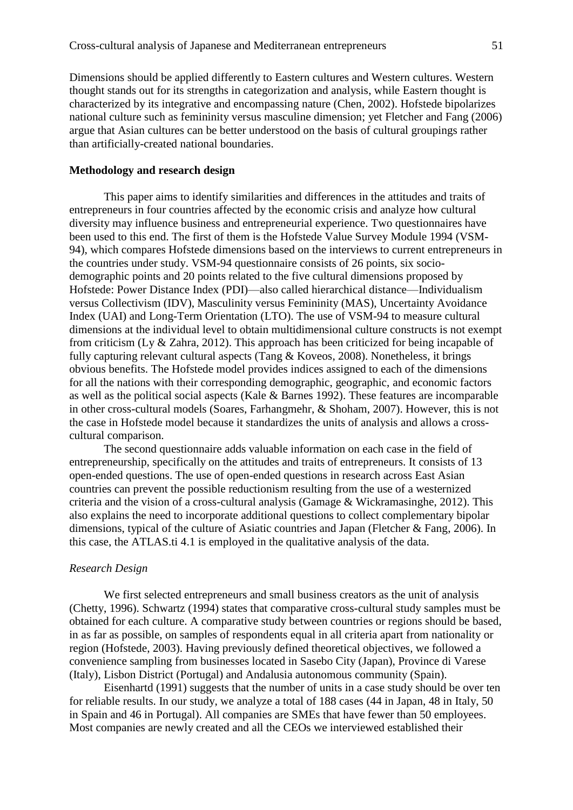Dimensions should be applied differently to Eastern cultures and Western cultures. Western thought stands out for its strengths in categorization and analysis, while Eastern thought is characterized by its integrative and encompassing nature (Chen, 2002). Hofstede bipolarizes national culture such as femininity versus masculine dimension; yet Fletcher and Fang (2006) argue that Asian cultures can be better understood on the basis of cultural groupings rather than artificially-created national boundaries.

#### **Methodology and research design**

This paper aims to identify similarities and differences in the attitudes and traits of entrepreneurs in four countries affected by the economic crisis and analyze how cultural diversity may influence business and entrepreneurial experience. Two questionnaires have been used to this end. The first of them is the Hofstede Value Survey Module 1994 (VSM-94), which compares Hofstede dimensions based on the interviews to current entrepreneurs in the countries under study. VSM-94 questionnaire consists of 26 points, six sociodemographic points and 20 points related to the five cultural dimensions proposed by Hofstede: Power Distance Index (PDI)—also called hierarchical distance—Individualism versus Collectivism (IDV), Masculinity versus Femininity (MAS), Uncertainty Avoidance Index (UAI) and Long-Term Orientation (LTO). The use of VSM-94 to measure cultural dimensions at the individual level to obtain multidimensional culture constructs is not exempt from criticism (Ly & Zahra, 2012). This approach has been criticized for being incapable of fully capturing relevant cultural aspects (Tang & Koveos, 2008). Nonetheless, it brings obvious benefits. The Hofstede model provides indices assigned to each of the dimensions for all the nations with their corresponding demographic, geographic, and economic factors as well as the political social aspects (Kale & Barnes 1992). These features are incomparable in other cross-cultural models (Soares, Farhangmehr, & Shoham, 2007). However, this is not the case in Hofstede model because it standardizes the units of analysis and allows a crosscultural comparison.

The second questionnaire adds valuable information on each case in the field of entrepreneurship, specifically on the attitudes and traits of entrepreneurs. It consists of 13 open-ended questions. The use of open-ended questions in research across East Asian countries can prevent the possible reductionism resulting from the use of a westernized criteria and the vision of a cross-cultural analysis (Gamage & Wickramasinghe, 2012). This also explains the need to incorporate additional questions to collect complementary bipolar dimensions, typical of the culture of Asiatic countries and Japan (Fletcher & Fang, 2006). In this case, the ATLAS.ti 4.1 is employed in the qualitative analysis of the data.

#### *Research Design*

We first selected entrepreneurs and small business creators as the unit of analysis (Chetty, 1996). Schwartz (1994) states that comparative cross-cultural study samples must be obtained for each culture. A comparative study between countries or regions should be based, in as far as possible, on samples of respondents equal in all criteria apart from nationality or region (Hofstede, 2003). Having previously defined theoretical objectives, we followed a convenience sampling from businesses located in Sasebo City (Japan), Province di Varese (Italy), Lisbon District (Portugal) and Andalusia autonomous community (Spain).

Eisenhartd (1991) suggests that the number of units in a case study should be over ten for reliable results. In our study, we analyze a total of 188 cases (44 in Japan, 48 in Italy, 50 in Spain and 46 in Portugal). All companies are SMEs that have fewer than 50 employees. Most companies are newly created and all the CEOs we interviewed established their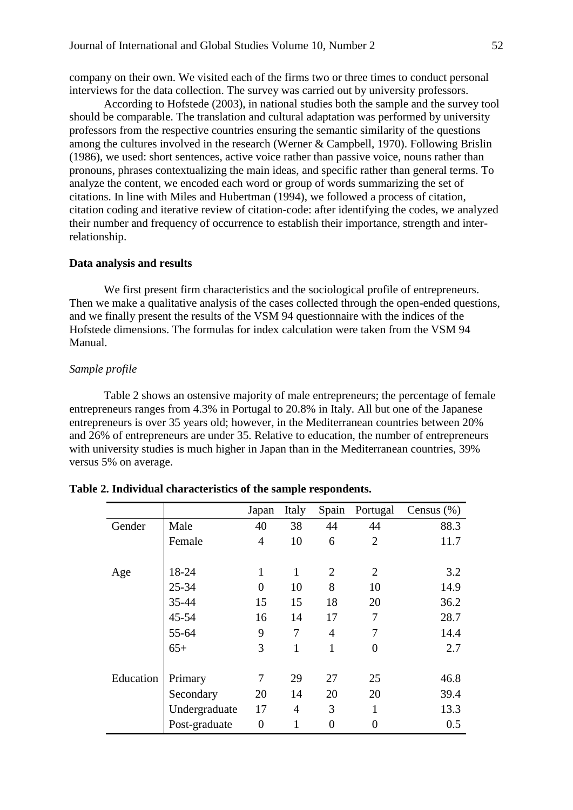company on their own. We visited each of the firms two or three times to conduct personal interviews for the data collection. The survey was carried out by university professors.

According to Hofstede (2003), in national studies both the sample and the survey tool should be comparable. The translation and cultural adaptation was performed by university professors from the respective countries ensuring the semantic similarity of the questions among the cultures involved in the research (Werner & Campbell, 1970). Following Brislin (1986), we used: short sentences, active voice rather than passive voice, nouns rather than pronouns, phrases contextualizing the main ideas, and specific rather than general terms. To analyze the content, we encoded each word or group of words summarizing the set of citations. In line with Miles and Hubertman (1994), we followed a process of citation, citation coding and iterative review of citation-code: after identifying the codes, we analyzed their number and frequency of occurrence to establish their importance, strength and interrelationship.

#### **Data analysis and results**

We first present firm characteristics and the sociological profile of entrepreneurs. Then we make a qualitative analysis of the cases collected through the open-ended questions, and we finally present the results of the VSM 94 questionnaire with the indices of the Hofstede dimensions. The formulas for index calculation were taken from the VSM 94 Manual.

## *Sample profile*

Table 2 shows an ostensive majority of male entrepreneurs; the percentage of female entrepreneurs ranges from 4.3% in Portugal to 20.8% in Italy. All but one of the Japanese entrepreneurs is over 35 years old; however, in the Mediterranean countries between 20% and 26% of entrepreneurs are under 35. Relative to education, the number of entrepreneurs with university studies is much higher in Japan than in the Mediterranean countries, 39% versus 5% on average.

|           |               | Japan          | Italy          |                | Spain Portugal   | Census $(\%)$ |
|-----------|---------------|----------------|----------------|----------------|------------------|---------------|
| Gender    | Male          | 40             | 38             | 44             | 44               | 88.3          |
|           | Female        | $\overline{4}$ | 10             | 6              | $\overline{2}$   | 11.7          |
|           |               |                |                |                |                  |               |
| Age       | 18-24         | $\mathbf{1}$   | $\mathbf{1}$   | $\overline{2}$ | $\overline{2}$   | 3.2           |
|           | 25-34         | $\overline{0}$ | 10             | 8              | 10               | 14.9          |
|           | 35-44         | 15             | 15             | 18             | 20               | 36.2          |
|           | 45-54         | 16             | 14             | 17             | 7                | 28.7          |
|           | 55-64         | 9              | 7              | $\overline{4}$ | 7                | 14.4          |
|           | $65+$         | 3              | 1              | 1              | 0                | 2.7           |
|           |               |                |                |                |                  |               |
| Education | Primary       | 7              | 29             | 27             | 25               | 46.8          |
|           | Secondary     | 20             | 14             | 20             | 20               | 39.4          |
|           | Undergraduate | 17             | $\overline{4}$ | 3              | $\mathbf{1}$     | 13.3          |
|           | Post-graduate | $\overline{0}$ | 1              | 0              | $\boldsymbol{0}$ | 0.5           |

## **Table 2. Individual characteristics of the sample respondents.**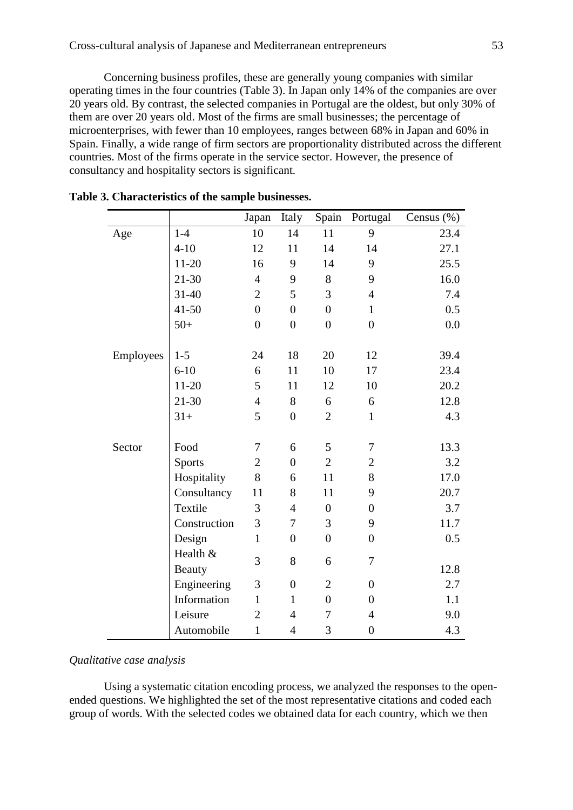Concerning business profiles, these are generally young companies with similar operating times in the four countries (Table 3). In Japan only 14% of the companies are over 20 years old. By contrast, the selected companies in Portugal are the oldest, but only 30% of them are over 20 years old. Most of the firms are small businesses; the percentage of microenterprises, with fewer than 10 employees, ranges between 68% in Japan and 60% in Spain. Finally, a wide range of firm sectors are proportionality distributed across the different countries. Most of the firms operate in the service sector. However, the presence of consultancy and hospitality sectors is significant.

|           |               | Japan          | Italy            | Spain            | Portugal         | Census $(\%)$ |
|-----------|---------------|----------------|------------------|------------------|------------------|---------------|
| Age       | $1-4$         | 10             | 14               | 11               | 9                | 23.4          |
|           | $4 - 10$      | 12             | 11               | 14               | 14               | 27.1          |
|           | $11 - 20$     | 16             | 9                | 14               | 9                | 25.5          |
|           | $21 - 30$     | $\overline{4}$ | 9                | 8                | 9                | 16.0          |
|           | 31-40         | $\overline{2}$ | 5                | 3                | $\overline{4}$   | 7.4           |
|           | $41 - 50$     | $\overline{0}$ | $\overline{0}$   | $\boldsymbol{0}$ | $\mathbf{1}$     | 0.5           |
|           | $50+$         | $\overline{0}$ | $\boldsymbol{0}$ | $\boldsymbol{0}$ | $\overline{0}$   | 0.0           |
|           |               |                |                  |                  |                  |               |
| Employees | $1-5$         | 24             | 18               | 20               | 12               | 39.4          |
|           | $6 - 10$      | 6              | 11               | 10               | 17               | 23.4          |
|           | $11 - 20$     | 5              | 11               | 12               | 10               | 20.2          |
|           | $21 - 30$     | $\overline{4}$ | 8                | 6                | 6                | 12.8          |
|           | $31+$         | 5              | $\boldsymbol{0}$ | $\overline{2}$   | $\mathbf{1}$     | 4.3           |
|           |               |                |                  |                  |                  |               |
| Sector    | Food          | 7              | 6                | 5                | $\tau$           | 13.3          |
|           | <b>Sports</b> | $\mathfrak{2}$ | $\overline{0}$   | $\overline{2}$   | $\mathbf{2}$     | 3.2           |
|           | Hospitality   | 8              | 6                | 11               | 8                | 17.0          |
|           | Consultancy   | 11             | 8                | 11               | 9                | 20.7          |
|           | Textile       | 3              | $\overline{4}$   | $\boldsymbol{0}$ | $\boldsymbol{0}$ | 3.7           |
|           | Construction  | 3              | $\overline{7}$   | 3                | 9                | 11.7          |
|           | Design        | $\mathbf{1}$   | $\boldsymbol{0}$ | $\boldsymbol{0}$ | $\overline{0}$   | 0.5           |
|           | Health &      | 3              | 8                | 6                | 7                |               |
|           | <b>Beauty</b> |                |                  |                  |                  | 12.8          |
|           | Engineering   | 3              | $\boldsymbol{0}$ | $\overline{2}$   | $\boldsymbol{0}$ | 2.7           |
|           | Information   | $\mathbf{1}$   | $\mathbf{1}$     | $\boldsymbol{0}$ | $\boldsymbol{0}$ | 1.1           |
|           | Leisure       | $\overline{2}$ | $\overline{4}$   | $\overline{7}$   | $\overline{4}$   | 9.0           |
|           | Automobile    | $\mathbf{1}$   | 4                | 3                | $\boldsymbol{0}$ | 4.3           |

|  | Table 3. Characteristics of the sample businesses. |  |  |  |
|--|----------------------------------------------------|--|--|--|
|--|----------------------------------------------------|--|--|--|

## *Qualitative case analysis*

Using a systematic citation encoding process, we analyzed the responses to the openended questions. We highlighted the set of the most representative citations and coded each group of words. With the selected codes we obtained data for each country, which we then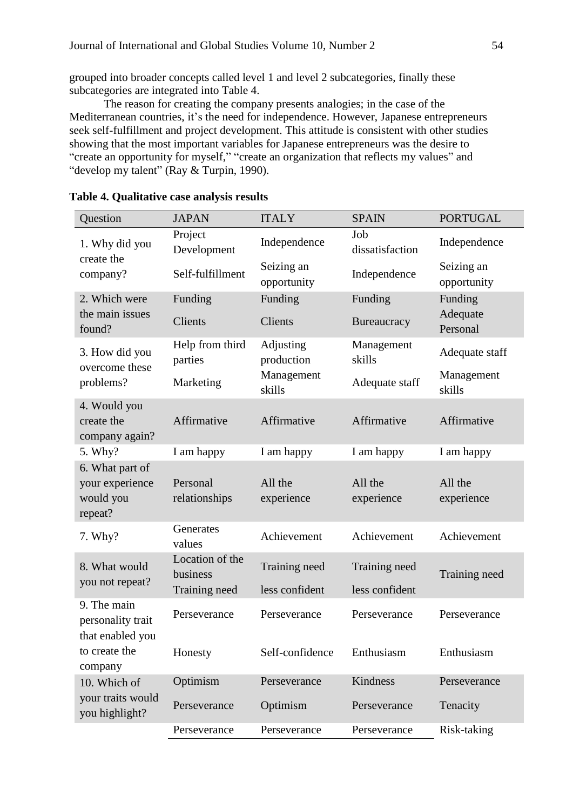grouped into broader concepts called level 1 and level 2 subcategories, finally these subcategories are integrated into Table 4.

The reason for creating the company presents analogies; in the case of the Mediterranean countries, it's the need for independence. However, Japanese entrepreneurs seek self-fulfillment and project development. This attitude is consistent with other studies showing that the most important variables for Japanese entrepreneurs was the desire to "create an opportunity for myself," "create an organization that reflects my values" and "develop my talent" (Ray & Turpin, 1990).

| Question                                             | <b>JAPAN</b>                | <b>ITALY</b>              | <b>SPAIN</b>           | <b>PORTUGAL</b>                 |  |
|------------------------------------------------------|-----------------------------|---------------------------|------------------------|---------------------------------|--|
| 1. Why did you                                       | Project<br>Development      | Independence              | Job<br>dissatisfaction | Independence                    |  |
| create the<br>company?                               | Self-fulfillment            | Seizing an<br>opportunity | Independence           | Seizing an<br>opportunity       |  |
| 2. Which were<br>the main issues<br>found?           | Funding<br>Clients          | Funding<br>Clients        | Funding<br>Bureaucracy | Funding<br>Adequate<br>Personal |  |
| 3. How did you<br>overcome these                     | Help from third<br>parties  | Adjusting<br>production   | Management<br>skills   | Adequate staff                  |  |
| problems?                                            | Marketing                   | Management<br>skills      | Adequate staff         | Management<br>skills            |  |
| 4. Would you<br>create the<br>company again?         | Affirmative                 | Affirmative               | Affirmative            | Affirmative                     |  |
| 5. Why?                                              | I am happy                  | I am happy                | I am happy             | I am happy                      |  |
| 6. What part of                                      |                             |                           |                        |                                 |  |
| your experience                                      | Personal                    | All the                   | All the                | All the                         |  |
| would you<br>repeat?                                 | relationships               | experience                | experience             | experience                      |  |
| 7. Why?                                              | Generates<br>values         | Achievement               | Achievement            | Achievement                     |  |
| 8. What would                                        | Location of the<br>business | Training need             | Training need          | Training need                   |  |
| you not repeat?                                      | Training need               | less confident            | less confident         |                                 |  |
| 9. The main<br>personality trait<br>that enabled you | Perseverance                | Perseverance              | Perseverance           | Perseverance                    |  |
| to create the<br>company                             | Honesty                     | Self-confidence           | Enthusiasm             | Enthusiasm                      |  |
| 10. Which of                                         | Optimism                    | Perseverance              | Kindness               | Perseverance                    |  |
| your traits would<br>you highlight?                  | Perseverance                | Optimism                  | Perseverance           | Tenacity                        |  |
|                                                      | Perseverance                | Perseverance              | Perseverance           | Risk-taking                     |  |

## **Table 4. Qualitative case analysis results**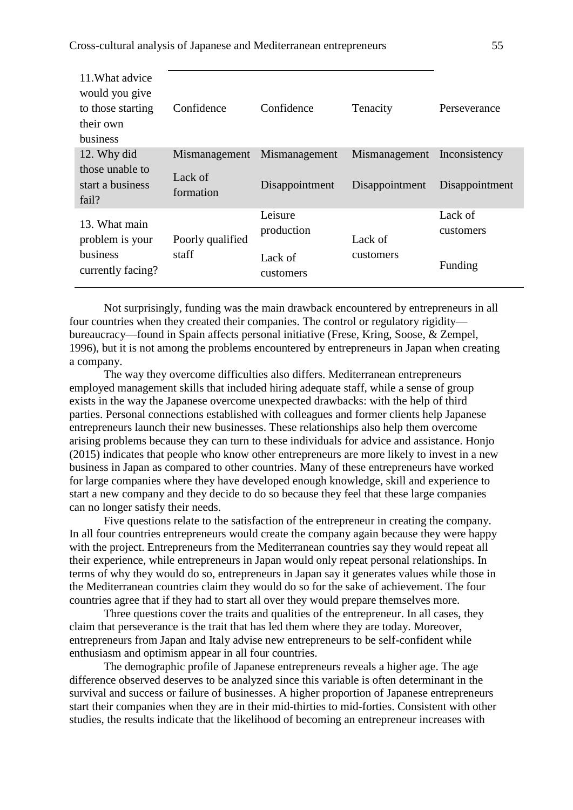Cross-cultural analysis of Japanese and Mediterranean entrepreneurs 55

| 11. What advice<br>would you give<br>to those starting<br>their own<br>business | Confidence           | Confidence            | Tenacity                    | Perseverance         |
|---------------------------------------------------------------------------------|----------------------|-----------------------|-----------------------------|----------------------|
| 12. Why did                                                                     | Mismanagement        | Mismanagement         | Mismanagement Inconsistency |                      |
| those unable to<br>start a business<br>fail?                                    | Lack of<br>formation | Disappointment        | Disappointment              | Disappointment       |
| 13. What main<br>problem is your                                                | Poorly qualified     | Leisure<br>production | Lack of                     | Lack of<br>customers |
| business<br>currently facing?                                                   | staff                | Lack of<br>customers  | customers                   | Funding              |

Not surprisingly, funding was the main drawback encountered by entrepreneurs in all four countries when they created their companies. The control or regulatory rigidity bureaucracy—found in Spain affects personal initiative (Frese, Kring, Soose, & Zempel, 1996), but it is not among the problems encountered by entrepreneurs in Japan when creating a company.

The way they overcome difficulties also differs. Mediterranean entrepreneurs employed management skills that included hiring adequate staff, while a sense of group exists in the way the Japanese overcome unexpected drawbacks: with the help of third parties. Personal connections established with colleagues and former clients help Japanese entrepreneurs launch their new businesses. These relationships also help them overcome arising problems because they can turn to these individuals for advice and assistance. Honjo (2015) indicates that people who know other entrepreneurs are more likely to invest in a new business in Japan as compared to other countries. Many of these entrepreneurs have worked for large companies where they have developed enough knowledge, skill and experience to start a new company and they decide to do so because they feel that these large companies can no longer satisfy their needs.

Five questions relate to the satisfaction of the entrepreneur in creating the company. In all four countries entrepreneurs would create the company again because they were happy with the project. Entrepreneurs from the Mediterranean countries say they would repeat all their experience, while entrepreneurs in Japan would only repeat personal relationships. In terms of why they would do so, entrepreneurs in Japan say it generates values while those in the Mediterranean countries claim they would do so for the sake of achievement. The four countries agree that if they had to start all over they would prepare themselves more.

Three questions cover the traits and qualities of the entrepreneur. In all cases, they claim that perseverance is the trait that has led them where they are today. Moreover, entrepreneurs from Japan and Italy advise new entrepreneurs to be self-confident while enthusiasm and optimism appear in all four countries.

The demographic profile of Japanese entrepreneurs reveals a higher age. The age difference observed deserves to be analyzed since this variable is often determinant in the survival and success or failure of businesses. A higher proportion of Japanese entrepreneurs start their companies when they are in their mid-thirties to mid-forties. Consistent with other studies, the results indicate that the likelihood of becoming an entrepreneur increases with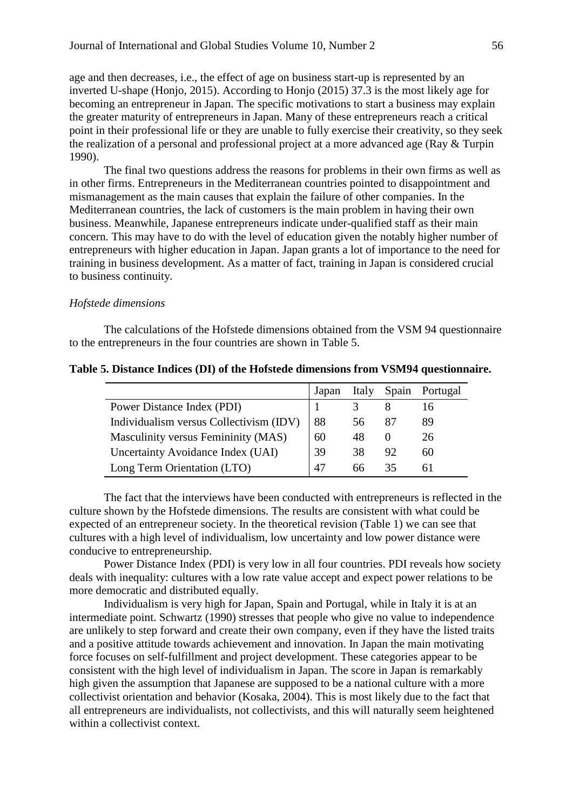age and then decreases, i.e., the effect of age on business start-up is represented by an inverted U-shape (Honjo, 2015). According to Honjo (2015) 37.3 is the most likely age for becoming an entrepreneur in Japan. The specific motivations to start a business may explain the greater maturity of entrepreneurs in Japan. Many of these entrepreneurs reach a critical point in their professional life or they are unable to fully exercise their creativity, so they seek the realization of a personal and professional project at a more advanced age (Ray & Turpin 1990).

The final two questions address the reasons for problems in their own firms as well as in other firms. Entrepreneurs in the Mediterranean countries pointed to disappointment and mismanagement as the main causes that explain the failure of other companies. In the Mediterranean countries, the lack of customers is the main problem in having their own business. Meanwhile, Japanese entrepreneurs indicate under-qualified staff as their main concern. This may have to do with the level of education given the notably higher number of entrepreneurs with higher education in Japan. Japan grants a lot of importance to the need for training in business development. As a matter of fact, training in Japan is considered crucial to business continuity.

## *Hofstede dimensions*

The calculations of the Hofstede dimensions obtained from the VSM 94 questionnaire to the entrepreneurs in the four countries are shown in Table 5.

|                                         | Japan |    |    | Italy Spain Portugal |
|-----------------------------------------|-------|----|----|----------------------|
| Power Distance Index (PDI)              |       |    |    | 16                   |
| Individualism versus Collectivism (IDV) | 88    | 56 |    | 89                   |
| Masculinity versus Femininity (MAS)     | 60    | 48 |    | 26                   |
| Uncertainty Avoidance Index (UAI)       | 39    | 38 | 92 | 60                   |
| Long Term Orientation (LTO)             | 47    | 66 |    |                      |

#### **Table 5. Distance Indices (DI) of the Hofstede dimensions from VSM94 questionnaire.**

The fact that the interviews have been conducted with entrepreneurs is reflected in the culture shown by the Hofstede dimensions. The results are consistent with what could be expected of an entrepreneur society. In the theoretical revision (Table 1) we can see that cultures with a high level of individualism, low uncertainty and low power distance were conducive to entrepreneurship.

Power Distance Index (PDI) is very low in all four countries. PDI reveals how society deals with inequality: cultures with a low rate value accept and expect power relations to be more democratic and distributed equally.

Individualism is very high for Japan, Spain and Portugal, while in Italy it is at an intermediate point. Schwartz (1990) stresses that people who give no value to independence are unlikely to step forward and create their own company, even if they have the listed traits and a positive attitude towards achievement and innovation. In Japan the main motivating force focuses on self-fulfillment and project development. These categories appear to be consistent with the high level of individualism in Japan. The score in Japan is remarkably high given the assumption that Japanese are supposed to be a national culture with a more collectivist orientation and behavior (Kosaka, 2004). This is most likely due to the fact that all entrepreneurs are individualists, not collectivists, and this will naturally seem heightened within a collectivist context.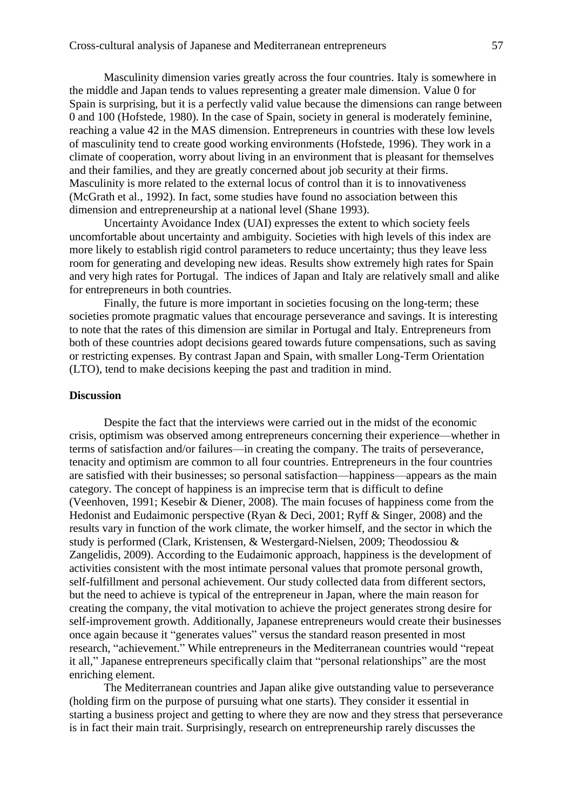Masculinity dimension varies greatly across the four countries. Italy is somewhere in the middle and Japan tends to values representing a greater male dimension. Value 0 for Spain is surprising, but it is a perfectly valid value because the dimensions can range between 0 and 100 (Hofstede, 1980). In the case of Spain, society in general is moderately feminine, reaching a value 42 in the MAS dimension. Entrepreneurs in countries with these low levels of masculinity tend to create good working environments (Hofstede, 1996). They work in a climate of cooperation, worry about living in an environment that is pleasant for themselves and their families, and they are greatly concerned about job security at their firms. Masculinity is more related to the external locus of control than it is to innovativeness (McGrath et al., 1992). In fact, some studies have found no association between this dimension and entrepreneurship at a national level (Shane 1993).

Uncertainty Avoidance Index (UAI) expresses the extent to which society feels uncomfortable about uncertainty and ambiguity. Societies with high levels of this index are more likely to establish rigid control parameters to reduce uncertainty; thus they leave less room for generating and developing new ideas. Results show extremely high rates for Spain and very high rates for Portugal. The indices of Japan and Italy are relatively small and alike for entrepreneurs in both countries.

Finally, the future is more important in societies focusing on the long-term; these societies promote pragmatic values that encourage perseverance and savings. It is interesting to note that the rates of this dimension are similar in Portugal and Italy. Entrepreneurs from both of these countries adopt decisions geared towards future compensations, such as saving or restricting expenses. By contrast Japan and Spain, with smaller Long-Term Orientation (LTO), tend to make decisions keeping the past and tradition in mind.

## **Discussion**

Despite the fact that the interviews were carried out in the midst of the economic crisis, optimism was observed among entrepreneurs concerning their experience—whether in terms of satisfaction and/or failures—in creating the company. The traits of perseverance, tenacity and optimism are common to all four countries. Entrepreneurs in the four countries are satisfied with their businesses; so personal satisfaction—happiness—appears as the main category. The concept of happiness is an imprecise term that is difficult to define (Veenhoven, 1991; Kesebir & Diener, 2008). The main focuses of happiness come from the Hedonist and Eudaimonic perspective (Ryan & Deci, 2001; Ryff & Singer, 2008) and the results vary in function of the work climate, the worker himself, and the sector in which the study is performed (Clark, Kristensen, & Westergard-Nielsen, 2009; Theodossiou & Zangelidis, 2009). According to the Eudaimonic approach, happiness is the development of activities consistent with the most intimate personal values that promote personal growth, self-fulfillment and personal achievement. Our study collected data from different sectors, but the need to achieve is typical of the entrepreneur in Japan, where the main reason for creating the company, the vital motivation to achieve the project generates strong desire for self-improvement growth. Additionally, Japanese entrepreneurs would create their businesses once again because it "generates values" versus the standard reason presented in most research, "achievement." While entrepreneurs in the Mediterranean countries would "repeat it all," Japanese entrepreneurs specifically claim that "personal relationships" are the most enriching element.

The Mediterranean countries and Japan alike give outstanding value to perseverance (holding firm on the purpose of pursuing what one starts). They consider it essential in starting a business project and getting to where they are now and they stress that perseverance is in fact their main trait. Surprisingly, research on entrepreneurship rarely discusses the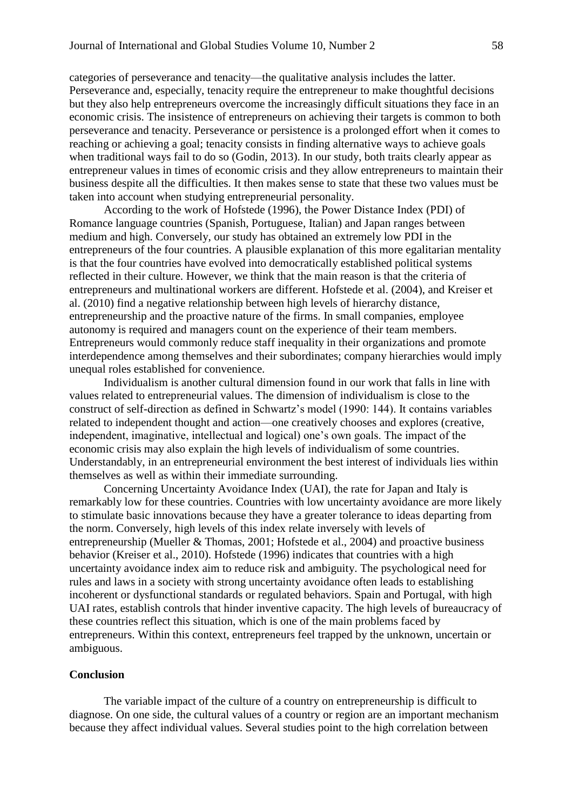categories of perseverance and tenacity—the qualitative analysis includes the latter. Perseverance and, especially, tenacity require the entrepreneur to make thoughtful decisions but they also help entrepreneurs overcome the increasingly difficult situations they face in an economic crisis. The insistence of entrepreneurs on achieving their targets is common to both perseverance and tenacity. Perseverance or persistence is a prolonged effort when it comes to reaching or achieving a goal; tenacity consists in finding alternative ways to achieve goals when traditional ways fail to do so (Godin, 2013). In our study, both traits clearly appear as entrepreneur values in times of economic crisis and they allow entrepreneurs to maintain their business despite all the difficulties. It then makes sense to state that these two values must be taken into account when studying entrepreneurial personality.

According to the work of Hofstede (1996), the Power Distance Index (PDI) of Romance language countries (Spanish, Portuguese, Italian) and Japan ranges between medium and high. Conversely, our study has obtained an extremely low PDI in the entrepreneurs of the four countries. A plausible explanation of this more egalitarian mentality is that the four countries have evolved into democratically established political systems reflected in their culture. However, we think that the main reason is that the criteria of entrepreneurs and multinational workers are different. Hofstede et al. (2004), and Kreiser et al. (2010) find a negative relationship between high levels of hierarchy distance, entrepreneurship and the proactive nature of the firms. In small companies, employee autonomy is required and managers count on the experience of their team members. Entrepreneurs would commonly reduce staff inequality in their organizations and promote interdependence among themselves and their subordinates; company hierarchies would imply unequal roles established for convenience.

Individualism is another cultural dimension found in our work that falls in line with values related to entrepreneurial values. The dimension of individualism is close to the construct of self-direction as defined in Schwartz's model (1990: 144). It contains variables related to independent thought and action—one creatively chooses and explores (creative, independent, imaginative, intellectual and logical) one's own goals. The impact of the economic crisis may also explain the high levels of individualism of some countries. Understandably, in an entrepreneurial environment the best interest of individuals lies within themselves as well as within their immediate surrounding.

Concerning Uncertainty Avoidance Index (UAI), the rate for Japan and Italy is remarkably low for these countries. Countries with low uncertainty avoidance are more likely to stimulate basic innovations because they have a greater tolerance to ideas departing from the norm. Conversely, high levels of this index relate inversely with levels of entrepreneurship (Mueller & Thomas, 2001; Hofstede et al., 2004) and proactive business behavior (Kreiser et al., 2010). Hofstede (1996) indicates that countries with a high uncertainty avoidance index aim to reduce risk and ambiguity. The psychological need for rules and laws in a society with strong uncertainty avoidance often leads to establishing incoherent or dysfunctional standards or regulated behaviors. Spain and Portugal, with high UAI rates, establish controls that hinder inventive capacity. The high levels of bureaucracy of these countries reflect this situation, which is one of the main problems faced by entrepreneurs. Within this context, entrepreneurs feel trapped by the unknown, uncertain or ambiguous.

#### **Conclusion**

The variable impact of the culture of a country on entrepreneurship is difficult to diagnose. On one side, the cultural values of a country or region are an important mechanism because they affect individual values. Several studies point to the high correlation between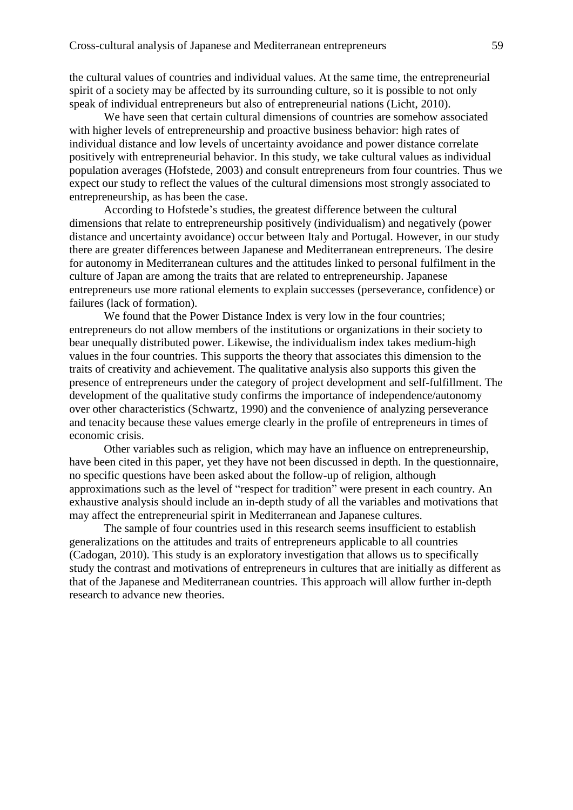the cultural values of countries and individual values. At the same time, the entrepreneurial spirit of a society may be affected by its surrounding culture, so it is possible to not only speak of individual entrepreneurs but also of entrepreneurial nations (Licht, 2010).

We have seen that certain cultural dimensions of countries are somehow associated with higher levels of entrepreneurship and proactive business behavior: high rates of individual distance and low levels of uncertainty avoidance and power distance correlate positively with entrepreneurial behavior. In this study, we take cultural values as individual population averages (Hofstede, 2003) and consult entrepreneurs from four countries. Thus we expect our study to reflect the values of the cultural dimensions most strongly associated to entrepreneurship, as has been the case.

According to Hofstede's studies, the greatest difference between the cultural dimensions that relate to entrepreneurship positively (individualism) and negatively (power distance and uncertainty avoidance) occur between Italy and Portugal. However, in our study there are greater differences between Japanese and Mediterranean entrepreneurs. The desire for autonomy in Mediterranean cultures and the attitudes linked to personal fulfilment in the culture of Japan are among the traits that are related to entrepreneurship. Japanese entrepreneurs use more rational elements to explain successes (perseverance, confidence) or failures (lack of formation).

We found that the Power Distance Index is very low in the four countries; entrepreneurs do not allow members of the institutions or organizations in their society to bear unequally distributed power. Likewise, the individualism index takes medium-high values in the four countries. This supports the theory that associates this dimension to the traits of creativity and achievement. The qualitative analysis also supports this given the presence of entrepreneurs under the category of project development and self-fulfillment. The development of the qualitative study confirms the importance of independence/autonomy over other characteristics (Schwartz, 1990) and the convenience of analyzing perseverance and tenacity because these values emerge clearly in the profile of entrepreneurs in times of economic crisis.

Other variables such as religion, which may have an influence on entrepreneurship, have been cited in this paper, yet they have not been discussed in depth. In the questionnaire, no specific questions have been asked about the follow-up of religion, although approximations such as the level of "respect for tradition" were present in each country. An exhaustive analysis should include an in-depth study of all the variables and motivations that may affect the entrepreneurial spirit in Mediterranean and Japanese cultures.

The sample of four countries used in this research seems insufficient to establish generalizations on the attitudes and traits of entrepreneurs applicable to all countries (Cadogan, 2010). This study is an exploratory investigation that allows us to specifically study the contrast and motivations of entrepreneurs in cultures that are initially as different as that of the Japanese and Mediterranean countries. This approach will allow further in-depth research to advance new theories.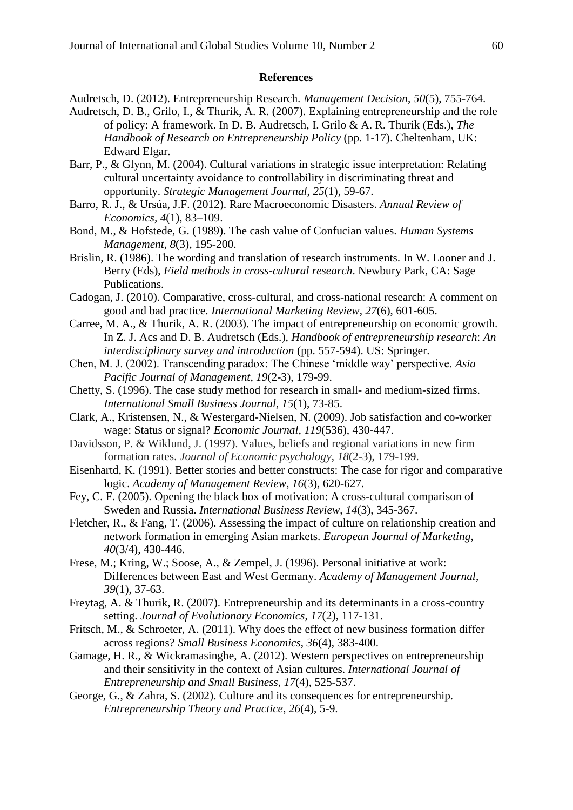#### **References**

Audretsch, D. (2012). Entrepreneurship Research. *Management Decision*, *50*(5), 755-764.

- Audretsch, D. B., Grilo, I., & Thurik, A. R. (2007). Explaining entrepreneurship and the role of policy: A framework. In D. B. Audretsch, I. Grilo & A. R. Thurik (Eds.), *The Handbook of Research on Entrepreneurship Policy* (pp. 1-17). Cheltenham, UK: Edward Elgar.
- Barr, P., & Glynn, M. (2004). Cultural variations in strategic issue interpretation: Relating cultural uncertainty avoidance to controllability in discriminating threat and opportunity. *Strategic Management Journal*, *25*(1), 59-67.
- Barro, R. J., & Ursúa, J.F. (2012). Rare Macroeconomic Disasters. *Annual Review of Economics, 4*(1), 83–109.
- Bond, M., & Hofstede, G. (1989). The cash value of Confucian values. *Human Systems Management, 8*(3), 195-200.
- Brislin, R. (1986). The wording and translation of research instruments. In W. Looner and J. Berry (Eds), *Field methods in cross-cultural research*. Newbury Park, CA: Sage Publications.
- Cadogan, J. (2010). Comparative, cross-cultural, and cross-national research: A comment on good and bad practice. *International Marketing Review*, *27*(6), 601-605.
- Carree, M. A., & Thurik, A. R. (2003). The impact of entrepreneurship on economic growth. In Z. J. Acs and D. B. Audretsch (Eds.), *Handbook of entrepreneurship research*: *An interdisciplinary survey and introduction* (pp. 557-594). US: Springer.
- Chen, M. J. (2002). Transcending paradox: The Chinese 'middle way' perspective. *Asia Pacific Journal of Management*, *19*(2-3), 179-99.
- Chetty, S. (1996). The case study method for research in small- and medium-sized firms. *International Small Business Journal*, *15*(1), 73-85.
- Clark, A., Kristensen, N., & Westergard-Nielsen, N. (2009). Job satisfaction and co-worker wage: Status or signal? *Economic Journal*, *119*(536), 430-447.
- Davidsson, P. & Wiklund, J. (1997). Values, beliefs and regional variations in new firm formation rates. *Journal of Economic psychology*, *18*(2-3), 179-199.
- Eisenhartd, K. (1991). Better stories and better constructs: The case for rigor and comparative logic. *Academy of Management Review, 16*(3), 620-627.
- Fey, C. F. (2005). Opening the black box of motivation: A cross-cultural comparison of Sweden and Russia. *International Business Review*, *14*(3), 345-367.
- Fletcher, R., & Fang, T. (2006). Assessing the impact of culture on relationship creation and network formation in emerging Asian markets. *European Journal of Marketing*, *40*(3/4), 430-446.
- Frese, M.; Kring, W.; Soose, A., & Zempel, J. (1996). Personal initiative at work: Differences between East and West Germany. *Academy of Management Journal*, *39*(1), 37-63.
- Freytag, A. & Thurik, R. (2007). Entrepreneurship and its determinants in a cross-country setting. *Journal of Evolutionary Economics*, *17*(2), 117-131.
- Fritsch, M., & Schroeter, A. (2011). Why does the effect of new business formation differ across regions? *Small Business Economics*, *36*(4), 383-400.
- Gamage, H. R., & Wickramasinghe, A. (2012). Western perspectives on entrepreneurship and their sensitivity in the context of Asian cultures. *International Journal of Entrepreneurship and Small Business*, *17*(4), 525-537.
- George, G., & Zahra, S. (2002). Culture and its consequences for entrepreneurship. *Entrepreneurship Theory and Practice*, *26*(4), 5-9.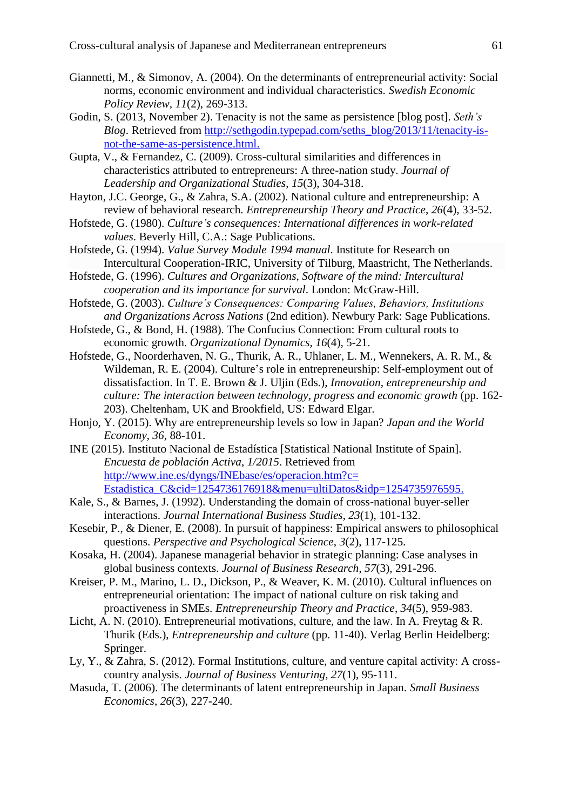- Giannetti, M., & Simonov, A. (2004). On the determinants of entrepreneurial activity: Social norms, economic environment and individual characteristics. *Swedish Economic Policy Review, 11*(2), 269-313.
- Godin, S. (2013, November 2). Tenacity is not the same as persistence [blog post]. *Seth's Blog*. Retrieved from [http://sethgodin.typepad.com/seths\\_blog/2013/11/tenacity-is](http://sethgodin.typepad.com/seths_blog/2013/11/tenacity-is-not-the-same-as-persistence.html)[not-the-same-as-persistence.html.](http://sethgodin.typepad.com/seths_blog/2013/11/tenacity-is-not-the-same-as-persistence.html)
- Gupta, V., & Fernandez, C. (2009). Cross-cultural similarities and differences in characteristics attributed to entrepreneurs: A three-nation study. *Journal of Leadership and Organizational Studies*, *15*(3), 304-318.
- Hayton, J.C. George, G., & Zahra, S.A. (2002). National culture and entrepreneurship: A review of behavioral research. *Entrepreneurship Theory and Practice*, *26*(4), 33-52.
- Hofstede, G. (1980). *Culture's consequences: International differences in work-related values*. Beverly Hill, C.A.: Sage Publications.
- Hofstede, G. (1994). *Value Survey Module 1994 manual*. Institute for Research on Intercultural Cooperation-IRIC, University of Tilburg, Maastricht, The Netherlands.
- Hofstede, G. (1996). *Cultures and Organizations, Software of the mind: Intercultural cooperation and its importance for survival*. London: McGraw-Hill.
- Hofstede, G. (2003). *Culture's Consequences: Comparing Values, Behaviors, Institutions and Organizations Across Nations* (2nd edition). Newbury Park: Sage Publications.
- Hofstede, G., & Bond, H. (1988). The Confucius Connection: From cultural roots to economic growth. *Organizational Dynamics*, *16*(4), 5-21.
- Hofstede, G., Noorderhaven, N. G., Thurik, A. R., Uhlaner, L. M., Wennekers, A. R. M., & Wildeman, R. E. (2004). Culture's role in entrepreneurship: Self-employment out of dissatisfaction. In T. E. Brown & J. Uljin (Eds.), *Innovation, entrepreneurship and culture: The interaction between technology, progress and economic growth* (pp. 162- 203). Cheltenham, UK and Brookfield, US: Edward Elgar.
- Honjo, Y. (2015). Why are entrepreneurship levels so low in Japan? *Japan and the World Economy*, *36*, 88-101.
- INE (2015). Instituto Nacional de Estadística [Statistical National Institute of Spain]. *Encuesta de población Activa*, *1/2015*. Retrieved from [http://www.ine.es/dyngs/INEbase/es/operacion.htm?c=](http://www.ine.es/dyngs/INEbase/es/operacion.htm?c=%20Estadistica_C&cid=1254736176918&menu=ultiDatos&idp=1254735976595)  [Estadistica\\_C&cid=1254736176918&menu=ultiDatos&idp=1254735976595.](http://www.ine.es/dyngs/INEbase/es/operacion.htm?c=%20Estadistica_C&cid=1254736176918&menu=ultiDatos&idp=1254735976595)
- Kale, S., & Barnes, J. (1992). Understanding the domain of cross-national buyer-seller interactions. *Journal International Business Studies*, *23*(1), 101-132.
- Kesebir, P., & Diener, E. (2008). In pursuit of happiness: Empirical answers to philosophical questions. *Perspective and Psychological Science*, *3*(2), 117-125.
- Kosaka, H. (2004). Japanese managerial behavior in strategic planning: Case analyses in global business contexts. *Journal of Business Research*, *57*(3), 291-296.
- Kreiser, P. M., Marino, L. D., Dickson, P., & Weaver, K. M. (2010). Cultural influences on entrepreneurial orientation: The impact of national culture on risk taking and proactiveness in SMEs. *Entrepreneurship Theory and Practice*, *34*(5), 959-983.
- Licht, A. N. (2010). Entrepreneurial motivations, culture, and the law. In A. Freytag & R. Thurik (Eds.), *Entrepreneurship and culture* (pp. 11-40). Verlag Berlin Heidelberg: Springer.
- Ly, Y., & Zahra, S. (2012). Formal Institutions, culture, and venture capital activity: A crosscountry analysis. *Journal of Business Venturing*, *27*(1), 95-111.
- Masuda, T. (2006). The determinants of latent entrepreneurship in Japan. *Small Business Economics*, *26*(3), 227-240.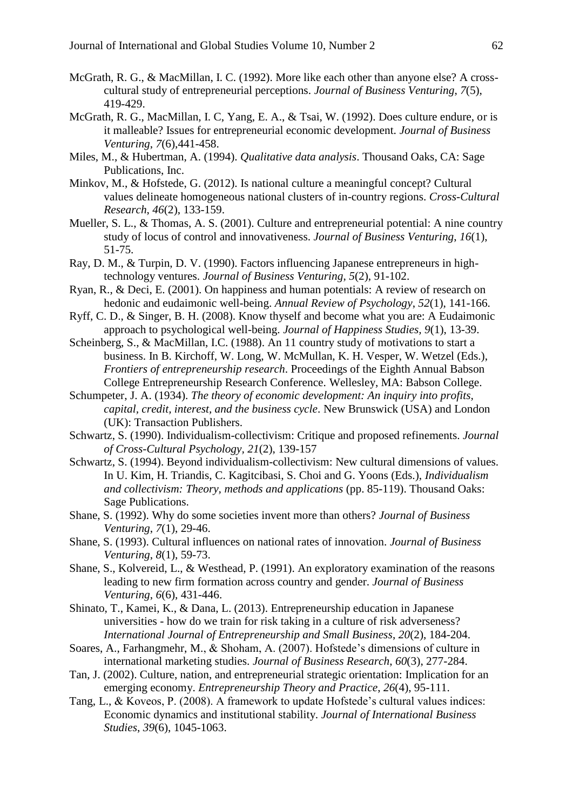- McGrath, R. G., & MacMillan, I. C. (1992). More like each other than anyone else? A crosscultural study of entrepreneurial perceptions. *Journal of Business Venturing*, *7*(5), 419-429.
- McGrath, R. G., MacMillan, I. C, Yang, E. A., & Tsai, W. (1992). Does culture endure, or is it malleable? Issues for entrepreneurial economic development. *Journal of Business Venturing*, *7*(6),441-458.
- Miles, M., & Hubertman, A. (1994). *Qualitative data analysis*. Thousand Oaks, CA: Sage Publications, Inc.
- Minkov, M., & Hofstede, G. (2012). Is national culture a meaningful concept? Cultural values delineate homogeneous national clusters of in-country regions. *Cross-Cultural Research*, *46*(2), 133-159.
- Mueller, S. L., & Thomas, A. S. (2001). Culture and entrepreneurial potential: A nine country study of locus of control and innovativeness. *Journal of Business Venturing*, *16*(1), 51-75.
- Ray, D. M., & Turpin, D. V. (1990). Factors influencing Japanese entrepreneurs in hightechnology ventures. *Journal of Business Venturing*, *5*(2), 91-102.
- Ryan, R., & Deci, E. (2001). On happiness and human potentials: A review of research on hedonic and eudaimonic well-being. *Annual Review of Psychology*, *52*(1), 141-166.
- Ryff, C. D., & Singer, B. H. (2008). Know thyself and become what you are: A Eudaimonic approach to psychological well-being. *Journal of Happiness Studies, 9*(1), 13-39.
- Scheinberg, S., & MacMillan, I.C. (1988). An 11 country study of motivations to start a business. In B. Kirchoff, W. Long, W. McMullan, K. H. Vesper, W. Wetzel (Eds.), *Frontiers of entrepreneurship research*. Proceedings of the Eighth Annual Babson College Entrepreneurship Research Conference. Wellesley, MA: Babson College.
- Schumpeter, J. A. (1934). *The theory of economic development: An inquiry into profits, capital, credit, interest, and the business cycle*. New Brunswick (USA) and London (UK): Transaction Publishers.
- Schwartz, S. (1990). Individualism-collectivism: Critique and proposed refinements. *Journal of Cross-Cultural Psychology, 21*(2), 139-157
- Schwartz, S. (1994). Beyond individualism-collectivism: New cultural dimensions of values. In U. Kim, H. Triandis, C. Kagitcibasi, S. Choi and G. Yoons (Eds.), *Individualism and collectivism: Theory, methods and applications* (pp. 85-119). Thousand Oaks: Sage Publications.
- Shane, S. (1992). Why do some societies invent more than others? *Journal of Business Venturing*, *7*(1), 29-46.
- Shane, S. (1993). Cultural influences on national rates of innovation. *Journal of Business Venturing*, *8*(1), 59-73.
- Shane, S., Kolvereid, L., & Westhead, P. (1991). An exploratory examination of the reasons leading to new firm formation across country and gender. *Journal of Business Venturing*, *6*(6), 431-446.
- Shinato, T., Kamei, K., & Dana, L. (2013). Entrepreneurship education in Japanese universities - how do we train for risk taking in a culture of risk adverseness? *International Journal of Entrepreneurship and Small Business*, *20*(2), 184-204.
- Soares, A., Farhangmehr, M., & Shoham, A. (2007). Hofstede's dimensions of culture in international marketing studies. *Journal of Business Research*, *60*(3), 277-284.
- Tan, J. (2002). Culture, nation, and entrepreneurial strategic orientation: Implication for an emerging economy. *Entrepreneurship Theory and Practice*, *26*(4), 95-111.
- Tang, L., & Koveos, P. (2008). A framework to update Hofstede's cultural values indices: Economic dynamics and institutional stability. *Journal of International Business Studies*, *39*(6), 1045-1063.